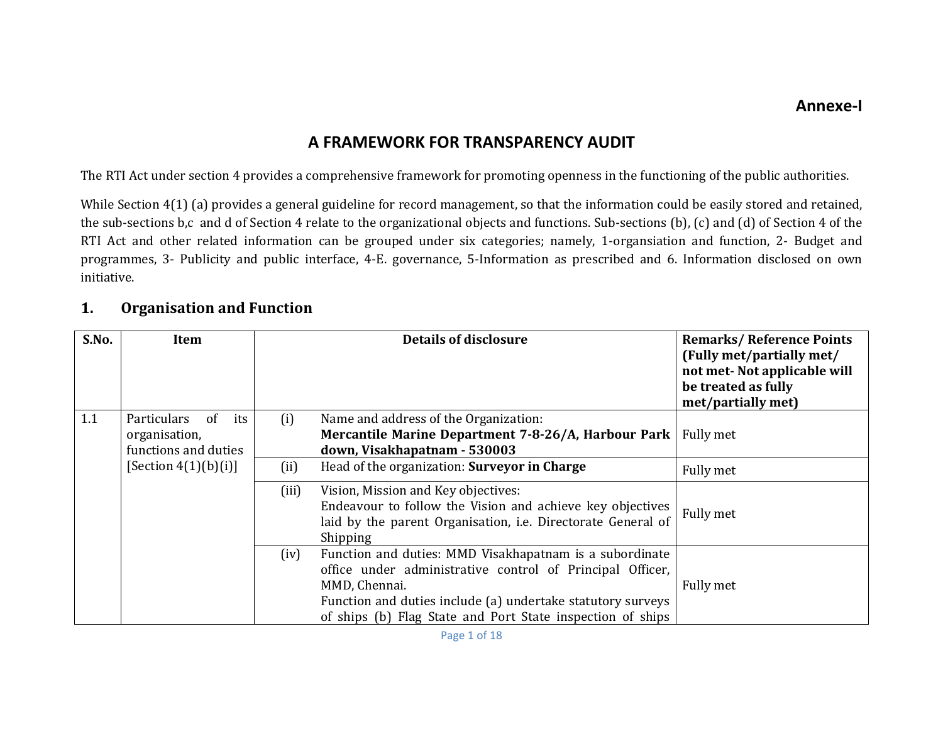# **A FRAMEWORK FOR TRANSPARENCY AUDIT**

The RTI Act under section 4 provides a comprehensive framework for promoting openness in the functioning of the public authorities.

While Section 4(1) (a) provides a general guideline for record management, so that the information could be easily stored and retained, the sub-sections b,c and d of Section 4 relate to the organizational objects and functions. Sub-sections (b), (c) and (d) of Section 4 of the RTI Act and other related information can be grouped under six categories; namely, 1-organsiation and function, 2- Budget and programmes, 3- Publicity and public interface, 4-E. governance, 5-Information as prescribed and 6. Information disclosed on own initiative. 

#### **1.Organisation and Function**

| S.No. | Item                                                              |       | <b>Details of disclosure</b>                                                                                                                                                                                                                                       | <b>Remarks/Reference Points</b><br>(Fully met/partially met/<br>not met-Not applicable will<br>be treated as fully<br>met/partially met) |
|-------|-------------------------------------------------------------------|-------|--------------------------------------------------------------------------------------------------------------------------------------------------------------------------------------------------------------------------------------------------------------------|------------------------------------------------------------------------------------------------------------------------------------------|
| 1.1   | Particulars<br>of<br>its<br>organisation,<br>functions and duties | (i)   | Name and address of the Organization:<br>Mercantile Marine Department 7-8-26/A, Harbour Park<br>down, Visakhapatnam - 530003                                                                                                                                       | Fully met                                                                                                                                |
|       | [Section $4(1)(b)(i)$ ]                                           | (ii)  | Head of the organization: Surveyor in Charge                                                                                                                                                                                                                       | Fully met                                                                                                                                |
|       |                                                                   | (iii) | Vision, Mission and Key objectives:<br>Endeavour to follow the Vision and achieve key objectives<br>laid by the parent Organisation, i.e. Directorate General of<br>Shipping                                                                                       | Fully met                                                                                                                                |
|       |                                                                   | (iv)  | Function and duties: MMD Visakhapatnam is a subordinate<br>office under administrative control of Principal Officer,<br>MMD, Chennai.<br>Function and duties include (a) undertake statutory surveys<br>of ships (b) Flag State and Port State inspection of ships | Fully met                                                                                                                                |

Page 1 of 18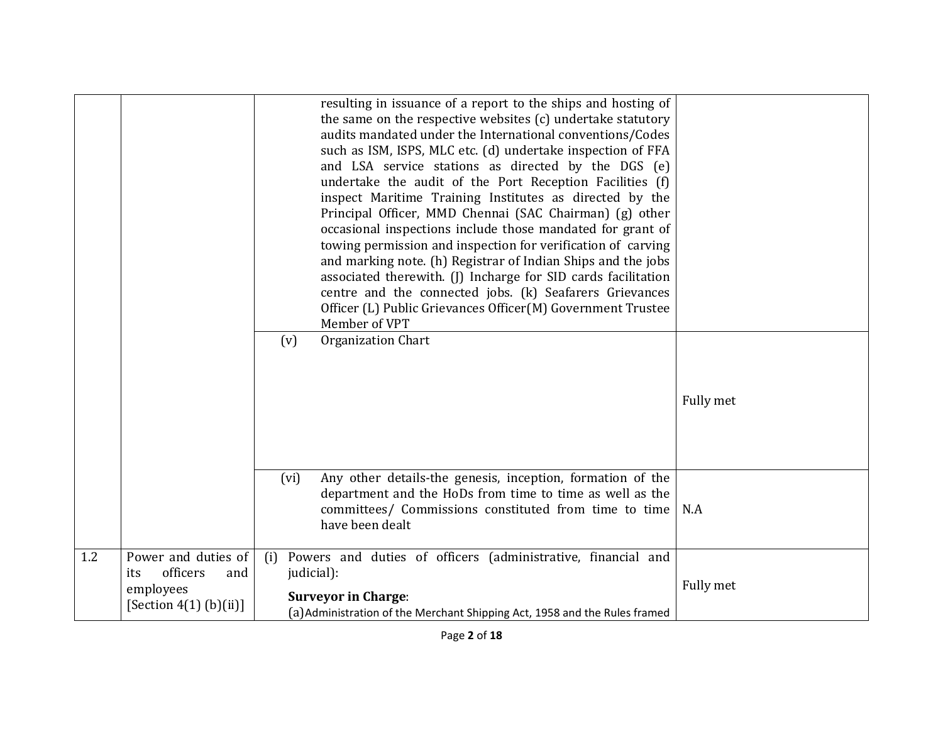|     |                                                                                        | resulting in issuance of a report to the ships and hosting of<br>the same on the respective websites (c) undertake statutory<br>audits mandated under the International conventions/Codes<br>such as ISM, ISPS, MLC etc. (d) undertake inspection of FFA<br>and LSA service stations as directed by the DGS (e)<br>undertake the audit of the Port Reception Facilities (f)<br>inspect Maritime Training Institutes as directed by the<br>Principal Officer, MMD Chennai (SAC Chairman) (g) other<br>occasional inspections include those mandated for grant of<br>towing permission and inspection for verification of carving<br>and marking note. (h) Registrar of Indian Ships and the jobs<br>associated therewith. (J) Incharge for SID cards facilitation<br>centre and the connected jobs. (k) Seafarers Grievances<br>Officer (L) Public Grievances Officer(M) Government Trustee<br>Member of VPT |           |
|-----|----------------------------------------------------------------------------------------|-------------------------------------------------------------------------------------------------------------------------------------------------------------------------------------------------------------------------------------------------------------------------------------------------------------------------------------------------------------------------------------------------------------------------------------------------------------------------------------------------------------------------------------------------------------------------------------------------------------------------------------------------------------------------------------------------------------------------------------------------------------------------------------------------------------------------------------------------------------------------------------------------------------|-----------|
|     |                                                                                        | <b>Organization Chart</b><br>(v)                                                                                                                                                                                                                                                                                                                                                                                                                                                                                                                                                                                                                                                                                                                                                                                                                                                                            | Fully met |
|     |                                                                                        | Any other details-the genesis, inception, formation of the<br>(vi)<br>department and the HoDs from time to time as well as the<br>committees/ Commissions constituted from time to time<br>have been dealt                                                                                                                                                                                                                                                                                                                                                                                                                                                                                                                                                                                                                                                                                                  | N.A       |
| 1.2 | Power and duties of<br>officers<br>and<br>its<br>employees<br>[Section $4(1)$ (b)(ii)] | Powers and duties of officers (administrative, financial and<br>(i)<br>judicial):<br><b>Surveyor in Charge:</b><br>(a)Administration of the Merchant Shipping Act, 1958 and the Rules framed                                                                                                                                                                                                                                                                                                                                                                                                                                                                                                                                                                                                                                                                                                                | Fully met |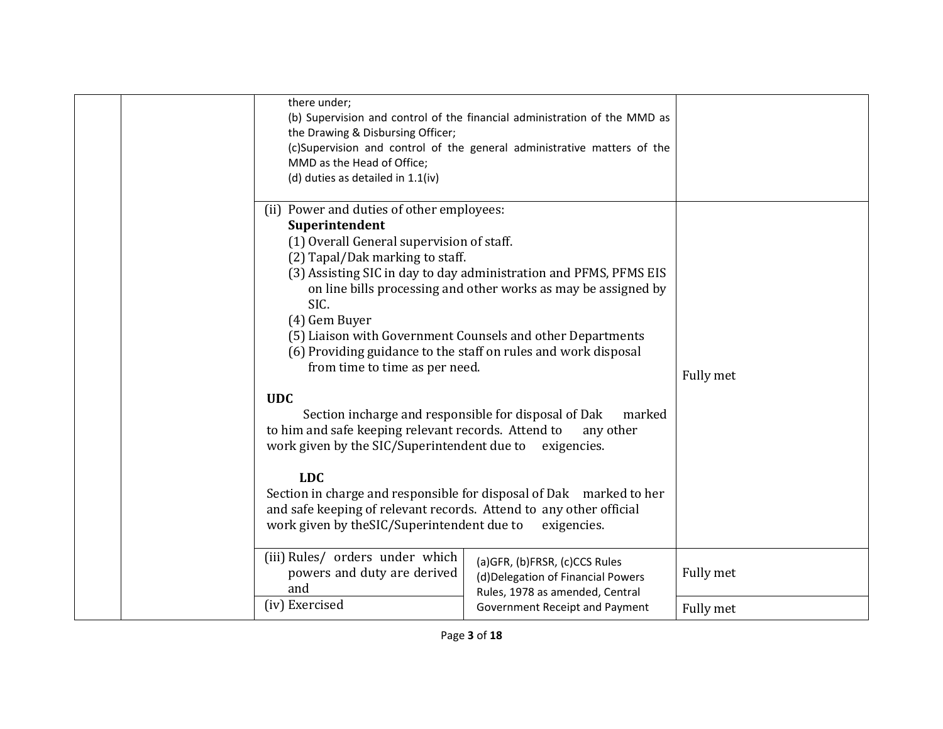| there under;<br>(b) Supervision and control of the financial administration of the MMD as<br>the Drawing & Disbursing Officer;<br>(c)Supervision and control of the general administrative matters of the<br>MMD as the Head of Office;<br>(d) duties as detailed in 1.1(iv)                                                                                                                                                                                                                                                                                                                                                                                                                                                                                                                                                                                        |                                                                                                        |           |
|---------------------------------------------------------------------------------------------------------------------------------------------------------------------------------------------------------------------------------------------------------------------------------------------------------------------------------------------------------------------------------------------------------------------------------------------------------------------------------------------------------------------------------------------------------------------------------------------------------------------------------------------------------------------------------------------------------------------------------------------------------------------------------------------------------------------------------------------------------------------|--------------------------------------------------------------------------------------------------------|-----------|
| (ii) Power and duties of other employees:<br>Superintendent<br>(1) Overall General supervision of staff.<br>(2) Tapal/Dak marking to staff.<br>(3) Assisting SIC in day to day administration and PFMS, PFMS EIS<br>on line bills processing and other works as may be assigned by<br>SIC.<br>(4) Gem Buyer<br>(5) Liaison with Government Counsels and other Departments<br>(6) Providing guidance to the staff on rules and work disposal<br>from time to time as per need.<br><b>UDC</b><br>Section incharge and responsible for disposal of Dak<br>to him and safe keeping relevant records. Attend to<br>work given by the SIC/Superintendent due to<br><b>LDC</b><br>Section in charge and responsible for disposal of Dak marked to her<br>and safe keeping of relevant records. Attend to any other official<br>work given by the SIC/Superintendent due to | marked<br>any other<br>exigencies.<br>exigencies.                                                      | Fully met |
| (iii) Rules/ orders under which<br>powers and duty are derived<br>and                                                                                                                                                                                                                                                                                                                                                                                                                                                                                                                                                                                                                                                                                                                                                                                               | (a)GFR, (b)FRSR, (c)CCS Rules<br>(d) Delegation of Financial Powers<br>Rules, 1978 as amended, Central | Fully met |
| (iv) Exercised                                                                                                                                                                                                                                                                                                                                                                                                                                                                                                                                                                                                                                                                                                                                                                                                                                                      | Government Receipt and Payment                                                                         | Fully met |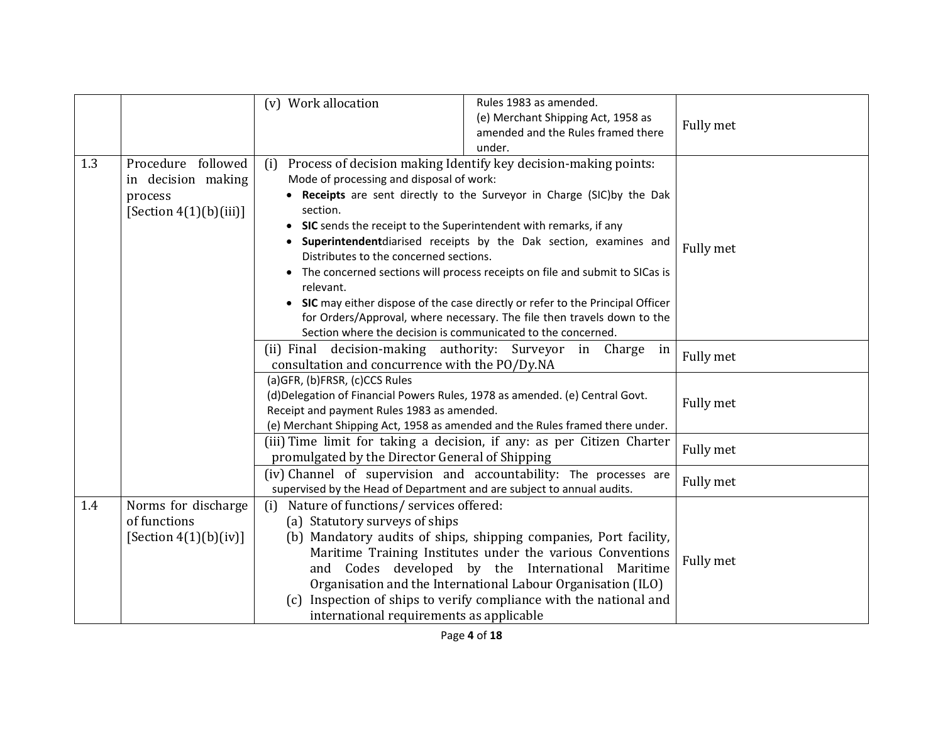|     |                                                                                  | (v) Work allocation                                                                                                                                                                                                                                      | Rules 1983 as amended.<br>(e) Merchant Shipping Act, 1958 as<br>amended and the Rules framed there<br>under.                                                                                                                                                                                                                                                                                                                                               | Fully met |
|-----|----------------------------------------------------------------------------------|----------------------------------------------------------------------------------------------------------------------------------------------------------------------------------------------------------------------------------------------------------|------------------------------------------------------------------------------------------------------------------------------------------------------------------------------------------------------------------------------------------------------------------------------------------------------------------------------------------------------------------------------------------------------------------------------------------------------------|-----------|
| 1.3 | Procedure followed<br>in decision making<br>process<br>[Section $4(1)(b)(iii)$ ] | (i)<br>Mode of processing and disposal of work:<br>section.<br>• SIC sends the receipt to the Superintendent with remarks, if any<br>Distributes to the concerned sections.<br>relevant.<br>Section where the decision is communicated to the concerned. | Process of decision making Identify key decision-making points:<br>• Receipts are sent directly to the Surveyor in Charge (SIC)by the Dak<br>Superintendentdiarised receipts by the Dak section, examines and<br>The concerned sections will process receipts on file and submit to SICas is<br>• SIC may either dispose of the case directly or refer to the Principal Officer<br>for Orders/Approval, where necessary. The file then travels down to the | Fully met |
|     |                                                                                  | (ii) Final decision-making authority: Surveyor in Charge<br>consultation and concurrence with the PO/Dy.NA                                                                                                                                               | in                                                                                                                                                                                                                                                                                                                                                                                                                                                         | Fully met |
|     |                                                                                  | (a)GFR, (b)FRSR, (c)CCS Rules<br>(d)Delegation of Financial Powers Rules, 1978 as amended. (e) Central Govt.<br>Receipt and payment Rules 1983 as amended.                                                                                               | (e) Merchant Shipping Act, 1958 as amended and the Rules framed there under.                                                                                                                                                                                                                                                                                                                                                                               | Fully met |
|     |                                                                                  | promulgated by the Director General of Shipping                                                                                                                                                                                                          | (iii) Time limit for taking a decision, if any: as per Citizen Charter                                                                                                                                                                                                                                                                                                                                                                                     | Fully met |
|     |                                                                                  | supervised by the Head of Department and are subject to annual audits.                                                                                                                                                                                   | (iv) Channel of supervision and accountability: The processes are                                                                                                                                                                                                                                                                                                                                                                                          | Fully met |
| 1.4 | Norms for discharge<br>of functions<br>[Section $4(1)(b)(iv)]$                   | Nature of functions/ services offered:<br>(i)<br>(a) Statutory surveys of ships<br>international requirements as applicable                                                                                                                              | (b) Mandatory audits of ships, shipping companies, Port facility,<br>Maritime Training Institutes under the various Conventions<br>and Codes developed by the International Maritime<br>Organisation and the International Labour Organisation (ILO)<br>(c) Inspection of ships to verify compliance with the national and                                                                                                                                 | Fully met |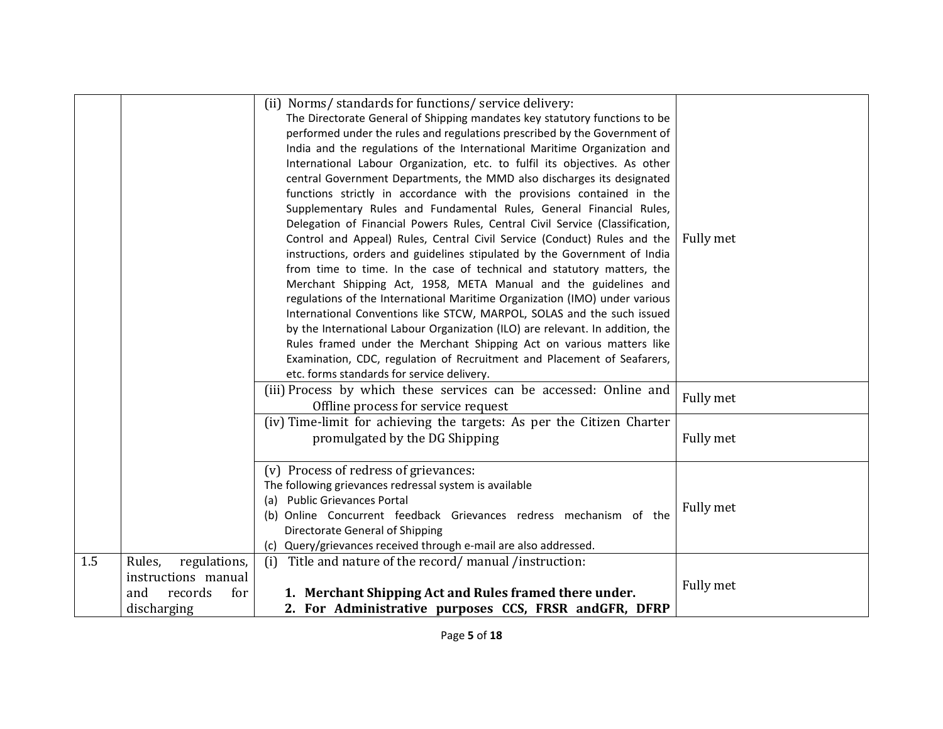|     |                                                                                       | (ii) Norms/ standards for functions/ service delivery:<br>The Directorate General of Shipping mandates key statutory functions to be<br>performed under the rules and regulations prescribed by the Government of<br>India and the regulations of the International Maritime Organization and<br>International Labour Organization, etc. to fulfil its objectives. As other<br>central Government Departments, the MMD also discharges its designated<br>functions strictly in accordance with the provisions contained in the<br>Supplementary Rules and Fundamental Rules, General Financial Rules,<br>Delegation of Financial Powers Rules, Central Civil Service (Classification,<br>Control and Appeal) Rules, Central Civil Service (Conduct) Rules and the<br>instructions, orders and guidelines stipulated by the Government of India<br>from time to time. In the case of technical and statutory matters, the<br>Merchant Shipping Act, 1958, META Manual and the guidelines and<br>regulations of the International Maritime Organization (IMO) under various<br>International Conventions like STCW, MARPOL, SOLAS and the such issued<br>by the International Labour Organization (ILO) are relevant. In addition, the<br>Rules framed under the Merchant Shipping Act on various matters like<br>Examination, CDC, regulation of Recruitment and Placement of Seafarers,<br>etc. forms standards for service delivery. | Fully met |
|-----|---------------------------------------------------------------------------------------|---------------------------------------------------------------------------------------------------------------------------------------------------------------------------------------------------------------------------------------------------------------------------------------------------------------------------------------------------------------------------------------------------------------------------------------------------------------------------------------------------------------------------------------------------------------------------------------------------------------------------------------------------------------------------------------------------------------------------------------------------------------------------------------------------------------------------------------------------------------------------------------------------------------------------------------------------------------------------------------------------------------------------------------------------------------------------------------------------------------------------------------------------------------------------------------------------------------------------------------------------------------------------------------------------------------------------------------------------------------------------------------------------------------------------------------|-----------|
|     |                                                                                       | (iii) Process by which these services can be accessed: Online and<br>Offline process for service request                                                                                                                                                                                                                                                                                                                                                                                                                                                                                                                                                                                                                                                                                                                                                                                                                                                                                                                                                                                                                                                                                                                                                                                                                                                                                                                              | Fully met |
|     |                                                                                       | (iv) Time-limit for achieving the targets: As per the Citizen Charter<br>promulgated by the DG Shipping                                                                                                                                                                                                                                                                                                                                                                                                                                                                                                                                                                                                                                                                                                                                                                                                                                                                                                                                                                                                                                                                                                                                                                                                                                                                                                                               | Fully met |
|     |                                                                                       | (v) Process of redress of grievances:<br>The following grievances redressal system is available<br>(a) Public Grievances Portal<br>(b) Online Concurrent feedback Grievances redress mechanism of the<br>Directorate General of Shipping<br>(c) Query/grievances received through e-mail are also addressed.                                                                                                                                                                                                                                                                                                                                                                                                                                                                                                                                                                                                                                                                                                                                                                                                                                                                                                                                                                                                                                                                                                                          | Fully met |
| 1.5 | Rules,<br>regulations,<br>instructions manual<br>and<br>records<br>for<br>discharging | (i) Title and nature of the record/manual/instruction:<br>1. Merchant Shipping Act and Rules framed there under.<br>2. For Administrative purposes CCS, FRSR andGFR, DFRP                                                                                                                                                                                                                                                                                                                                                                                                                                                                                                                                                                                                                                                                                                                                                                                                                                                                                                                                                                                                                                                                                                                                                                                                                                                             | Fully met |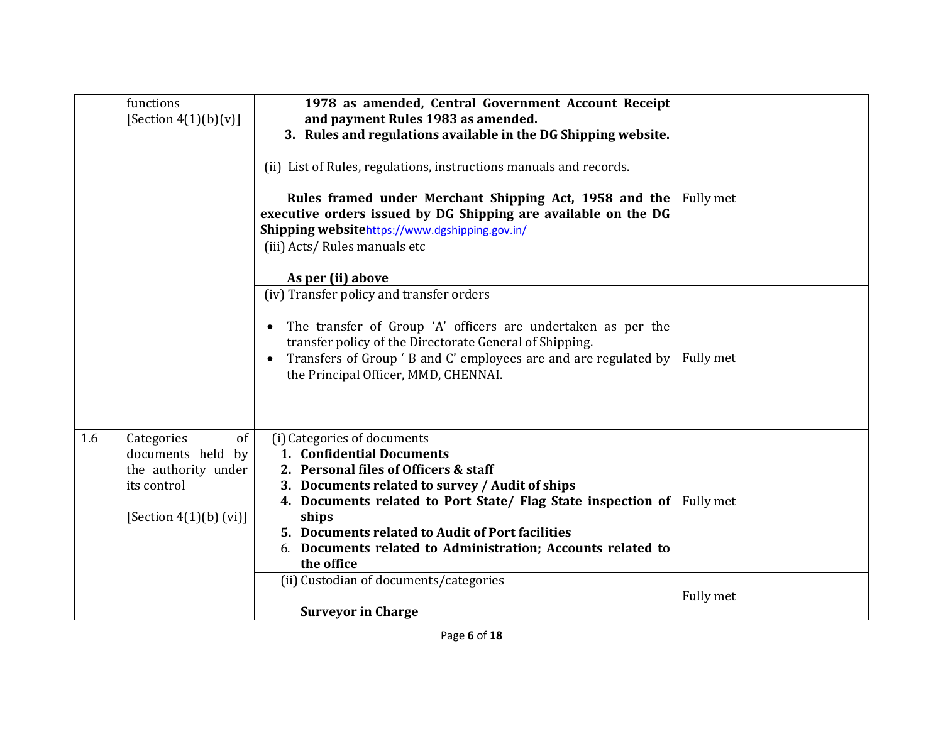|     | functions                | 1978 as amended, Central Government Account Receipt                          |           |
|-----|--------------------------|------------------------------------------------------------------------------|-----------|
|     | [Section $4(1)(b)(v)$ ]  | and payment Rules 1983 as amended.                                           |           |
|     |                          | 3. Rules and regulations available in the DG Shipping website.               |           |
|     |                          |                                                                              |           |
|     |                          | (ii) List of Rules, regulations, instructions manuals and records.           |           |
|     |                          | Rules framed under Merchant Shipping Act, 1958 and the                       | Fully met |
|     |                          | executive orders issued by DG Shipping are available on the DG               |           |
|     |                          | Shipping websitehttps://www.dgshipping.gov.in/                               |           |
|     |                          | (iii) Acts/ Rules manuals etc                                                |           |
|     |                          |                                                                              |           |
|     |                          | As per (ii) above                                                            |           |
|     |                          | (iv) Transfer policy and transfer orders                                     |           |
|     |                          |                                                                              |           |
|     |                          | The transfer of Group 'A' officers are undertaken as per the<br>$\bullet$    |           |
|     |                          | transfer policy of the Directorate General of Shipping.                      |           |
|     |                          | Transfers of Group 'B and C' employees are and are regulated by<br>$\bullet$ | Fully met |
|     |                          | the Principal Officer, MMD, CHENNAI.                                         |           |
|     |                          |                                                                              |           |
|     |                          |                                                                              |           |
|     |                          |                                                                              |           |
| 1.6 | Categories<br>of         | (i) Categories of documents                                                  |           |
|     | documents held by        | 1. Confidential Documents                                                    |           |
|     | the authority under      | 2. Personal files of Officers & staff                                        |           |
|     | its control              | 3. Documents related to survey / Audit of ships                              |           |
|     |                          | 4. Documents related to Port State/ Flag State inspection of Fully met       |           |
|     | [Section $4(1)(b)$ (vi)] | ships                                                                        |           |
|     |                          | 5. Documents related to Audit of Port facilities                             |           |
|     |                          | 6. Documents related to Administration; Accounts related to                  |           |
|     |                          | the office                                                                   |           |
|     |                          | (ii) Custodian of documents/categories                                       |           |
|     |                          |                                                                              | Fully met |
|     |                          | <b>Surveyor in Charge</b>                                                    |           |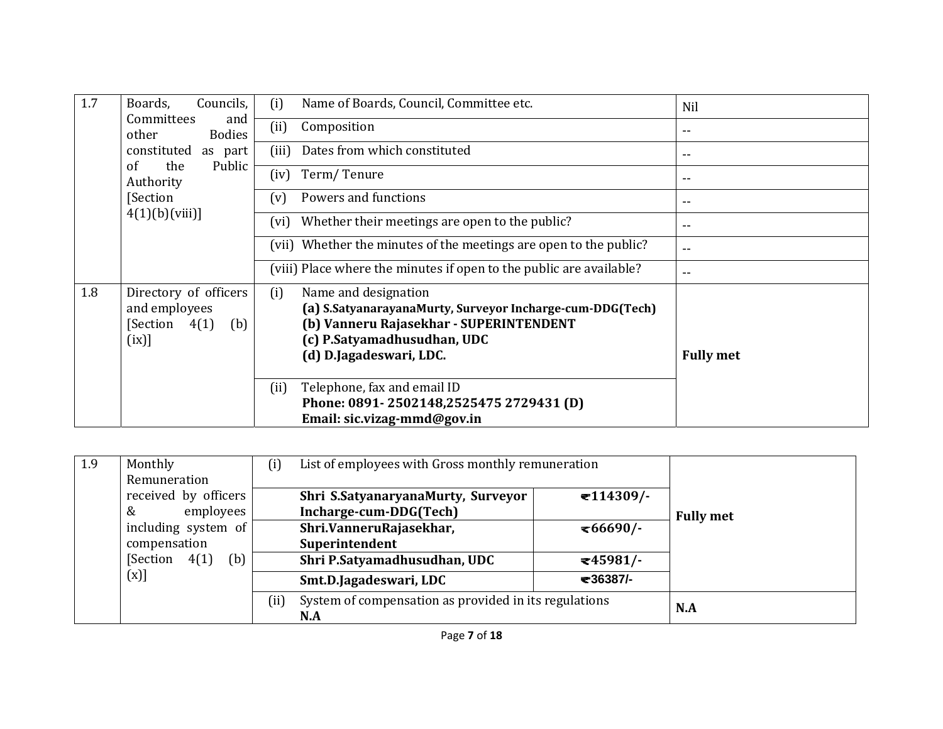| 1.7 | Councils,<br>Boards,                                                       | Name of Boards, Council, Committee etc.<br>(i)                                                                                                                                                | Nil              |
|-----|----------------------------------------------------------------------------|-----------------------------------------------------------------------------------------------------------------------------------------------------------------------------------------------|------------------|
|     | Committees<br>and<br><b>Bodies</b><br>other                                | (ii)<br>Composition                                                                                                                                                                           | $-$              |
|     | constituted<br>as part                                                     | Dates from which constituted<br>(iii)                                                                                                                                                         | $- -$            |
|     | the<br>Public<br>of<br>Authority                                           | Term/Tenure<br>(iv)                                                                                                                                                                           | $-$              |
|     | [Section                                                                   | Powers and functions<br>(v)                                                                                                                                                                   | $-$              |
|     | 4(1)(b)(viii)                                                              | Whether their meetings are open to the public?<br>(vi)                                                                                                                                        | $-$              |
|     |                                                                            | (vii) Whether the minutes of the meetings are open to the public?                                                                                                                             | $- -$            |
|     |                                                                            | (viii) Place where the minutes if open to the public are available?                                                                                                                           | $-$              |
| 1.8 | Directory of officers<br>and employees<br>[Section<br>4(1)<br>(b)<br>(ix)] | (i)<br>Name and designation<br>(a) S.SatyanarayanaMurty, Surveyor Incharge-cum-DDG(Tech)<br>(b) Vanneru Rajasekhar - SUPERINTENDENT<br>(c) P.Satyamadhusudhan, UDC<br>(d) D.Jagadeswari, LDC. | <b>Fully met</b> |
|     |                                                                            | Telephone, fax and email ID<br>(ii)<br>Phone: 0891-2502148,2525475 2729431 (D)                                                                                                                |                  |
|     |                                                                            | Email: sic.vizag-mmd@gov.in                                                                                                                                                                   |                  |

| 1.9 | Monthly                  | List of employees with Gross monthly remuneration<br>(i)     |                  |
|-----|--------------------------|--------------------------------------------------------------|------------------|
|     | Remuneration             |                                                              |                  |
|     | received by officers     | $\mathbf{I}14309$ /-<br>Shri S.SatyanaryanaMurty, Surveyor   |                  |
|     | employees<br>&           | Incharge-cum-DDG(Tech)                                       | <b>Fully met</b> |
|     | including system of      | Shri.VanneruRajasekhar,<br>$\approx 66690$ /-                |                  |
|     | compensation             | Superintendent                                               |                  |
|     | [Section]<br>4(1)<br>(b) | Shri P.Satyamadhusudhan, UDC<br>$=45981/$                    |                  |
|     | (x)]                     | ₹36387/-<br>Smt.D.Jagadeswari, LDC                           |                  |
|     |                          | System of compensation as provided in its regulations<br>(i) | N.A              |
|     |                          | N.A                                                          |                  |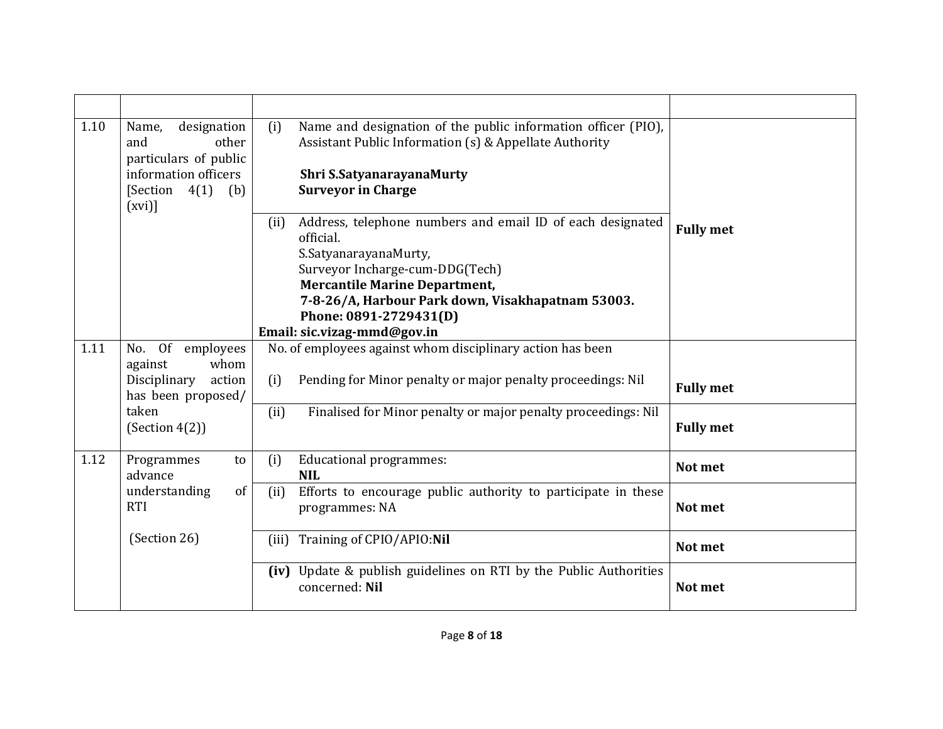| 1.10 | designation<br>Name,<br>other<br>and<br>particulars of public<br>information officers<br>[Section $4(1)$ ]<br>(b)<br>(xvi) | Name and designation of the public information officer (PIO),<br>(i)<br>Assistant Public Information (s) & Appellate Authority<br>Shri S.SatyanarayanaMurty<br><b>Surveyor in Charge</b>                                                                                                          |                  |
|------|----------------------------------------------------------------------------------------------------------------------------|---------------------------------------------------------------------------------------------------------------------------------------------------------------------------------------------------------------------------------------------------------------------------------------------------|------------------|
|      |                                                                                                                            | Address, telephone numbers and email ID of each designated<br>(ii)<br>official.<br>S.SatyanarayanaMurty,<br>Surveyor Incharge-cum-DDG(Tech)<br><b>Mercantile Marine Department,</b><br>7-8-26/A, Harbour Park down, Visakhapatnam 53003.<br>Phone: 0891-2729431(D)<br>Email: sic.vizag-mmd@gov.in | <b>Fully met</b> |
| 1.11 | No. Of employees                                                                                                           | No. of employees against whom disciplinary action has been                                                                                                                                                                                                                                        |                  |
|      | against<br>whom<br>Disciplinary<br>action<br>has been proposed/                                                            | Pending for Minor penalty or major penalty proceedings: Nil<br>(i)                                                                                                                                                                                                                                | <b>Fully met</b> |
|      | taken<br>(Section 4(2))                                                                                                    | (ii)<br>Finalised for Minor penalty or major penalty proceedings: Nil                                                                                                                                                                                                                             | <b>Fully met</b> |
| 1.12 | Programmes<br>to<br>advance                                                                                                | <b>Educational programmes:</b><br>(i)<br><b>NIL</b>                                                                                                                                                                                                                                               | Not met          |
|      | understanding<br>of<br><b>RTI</b>                                                                                          | Efforts to encourage public authority to participate in these<br>(ii)<br>programmes: NA                                                                                                                                                                                                           | Not met          |
|      | (Section 26)                                                                                                               | (iii) Training of CPIO/APIO:Nil                                                                                                                                                                                                                                                                   | Not met          |
|      |                                                                                                                            | (iv) Update & publish guidelines on RTI by the Public Authorities<br>concerned: Nil                                                                                                                                                                                                               | Not met          |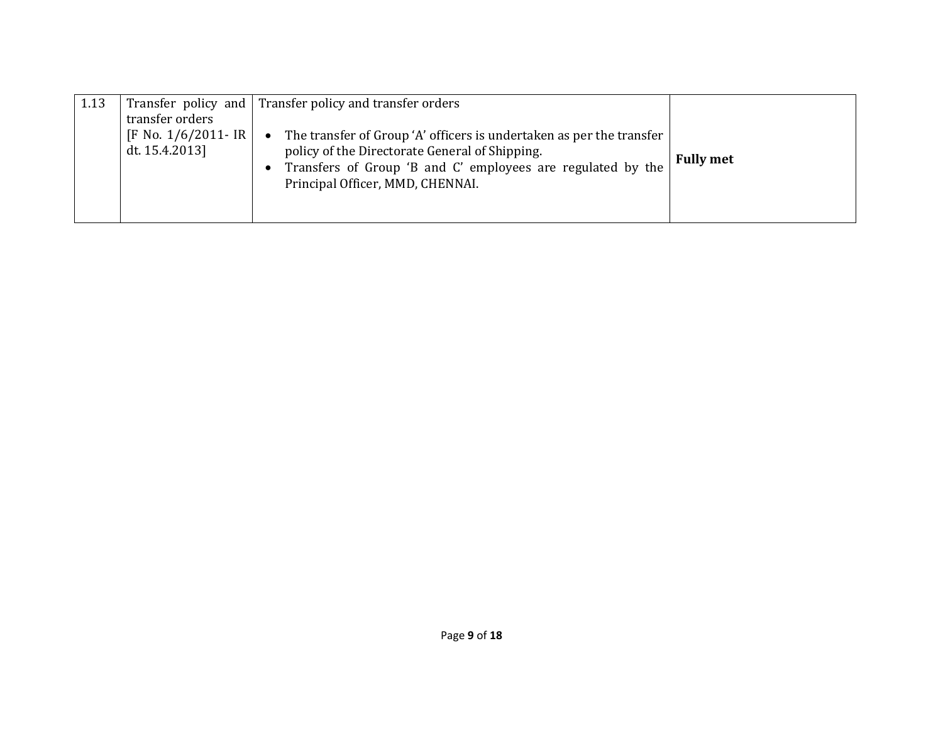| 1.13 | transfer orders<br>[F No. $1/6/2011$ - IR  <br>dt. 15.4.2013] | Transfer policy and Transfer policy and transfer orders<br>The transfer of Group 'A' officers is undertaken as per the transfer<br>$\bullet$<br>policy of the Directorate General of Shipping.<br>Transfers of Group 'B and C' employees are regulated by the<br>Principal Officer, MMD, CHENNAI. | <b>Fully met</b> |
|------|---------------------------------------------------------------|---------------------------------------------------------------------------------------------------------------------------------------------------------------------------------------------------------------------------------------------------------------------------------------------------|------------------|
|------|---------------------------------------------------------------|---------------------------------------------------------------------------------------------------------------------------------------------------------------------------------------------------------------------------------------------------------------------------------------------------|------------------|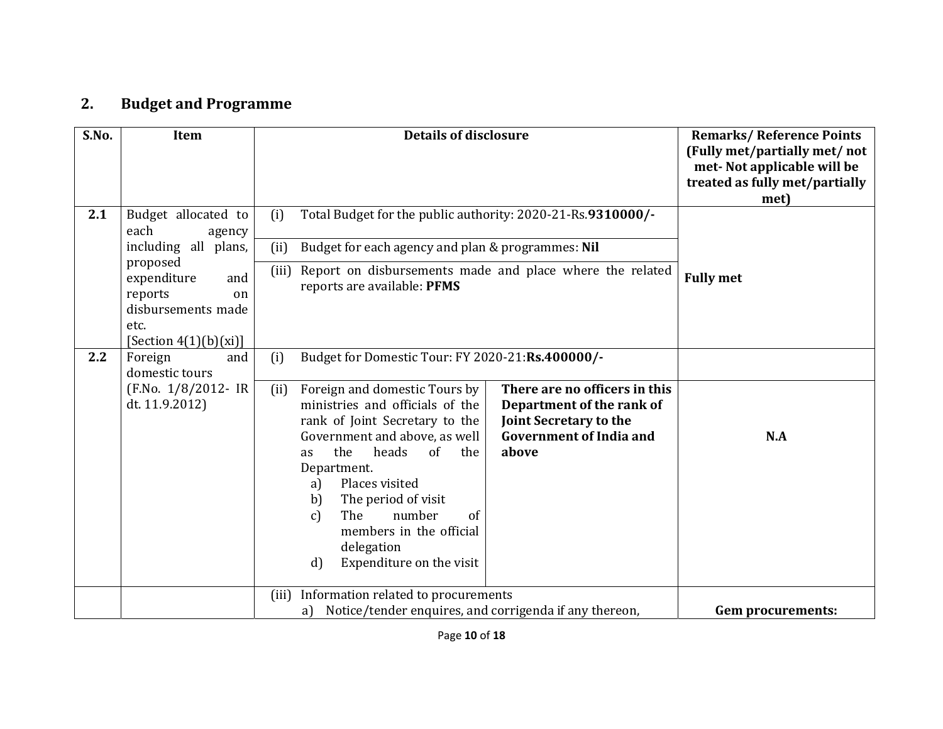## **2.Budget and Programme**

| S.No. | Item                                                                                                                                                                      | <b>Details of disclosure</b>                                                                                                                                                                                                                                                                                                                                                                                                                                                                                                                                       | <b>Remarks/Reference Points</b><br>(Fully met/partially met/ not<br>met-Not applicable will be<br>treated as fully met/partially<br>met) |
|-------|---------------------------------------------------------------------------------------------------------------------------------------------------------------------------|--------------------------------------------------------------------------------------------------------------------------------------------------------------------------------------------------------------------------------------------------------------------------------------------------------------------------------------------------------------------------------------------------------------------------------------------------------------------------------------------------------------------------------------------------------------------|------------------------------------------------------------------------------------------------------------------------------------------|
| 2.1   | Budget allocated to<br>each<br>agency<br>including all plans,<br>proposed<br>expenditure<br>and<br>reports<br>on<br>disbursements made<br>etc.<br>[Section $4(1)(b)(xi)]$ | Total Budget for the public authority: 2020-21-Rs.9310000/-<br>(i)<br>(ii)<br>Budget for each agency and plan & programmes: Nil<br>(iii) Report on disbursements made and place where the related<br>reports are available: PFMS                                                                                                                                                                                                                                                                                                                                   | <b>Fully met</b>                                                                                                                         |
| 2.2   | Foreign<br>and<br>domestic tours<br>(F.No. 1/8/2012- IR<br>dt. 11.9.2012)                                                                                                 | (i)<br>Budget for Domestic Tour: FY 2020-21:Rs.400000/-<br>There are no officers in this<br>Foreign and domestic Tours by<br>(ii)<br>ministries and officials of the<br>Department of the rank of<br>Joint Secretary to the<br>rank of Joint Secretary to the<br><b>Government of India and</b><br>Government and above, as well<br>the<br>heads<br>of<br>above<br>the<br>as<br>Department.<br>Places visited<br>a)<br>The period of visit<br>b)<br>number<br>The<br>of<br>$\mathbf{c}$<br>members in the official<br>delegation<br>Expenditure on the visit<br>d) | N.A                                                                                                                                      |
|       |                                                                                                                                                                           | Information related to procurements<br>(iii)<br>Notice/tender enquires, and corrigenda if any thereon,<br>a)                                                                                                                                                                                                                                                                                                                                                                                                                                                       | <b>Gem procurements:</b>                                                                                                                 |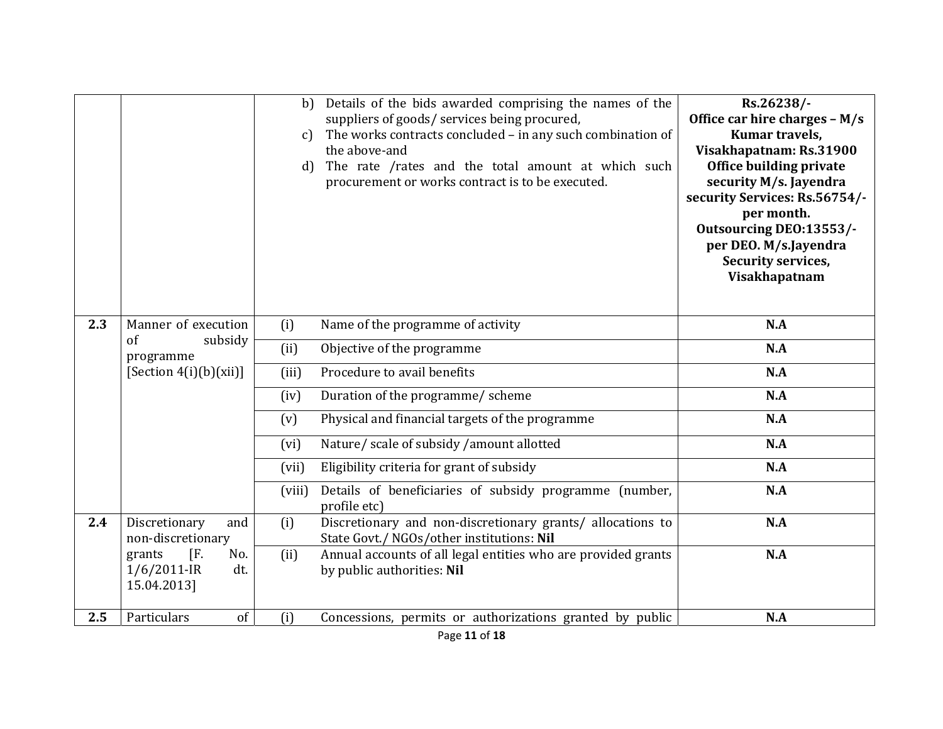|     |                                                                 | b)<br>$\mathcal{C}$<br>d) | Details of the bids awarded comprising the names of the<br>suppliers of goods/ services being procured,<br>The works contracts concluded - in any such combination of<br>the above-and<br>The rate /rates and the total amount at which such<br>procurement or works contract is to be executed. | Rs.26238/-<br>Office car hire charges - M/s<br>Kumar travels,<br>Visakhapatnam: Rs.31900<br>Office building private<br>security M/s. Jayendra<br>security Services: Rs.56754/-<br>per month.<br>Outsourcing DEO:13553/-<br>per DEO. M/s.Jayendra<br>Security services,<br>Visakhapatnam |
|-----|-----------------------------------------------------------------|---------------------------|--------------------------------------------------------------------------------------------------------------------------------------------------------------------------------------------------------------------------------------------------------------------------------------------------|-----------------------------------------------------------------------------------------------------------------------------------------------------------------------------------------------------------------------------------------------------------------------------------------|
| 2.3 | Manner of execution                                             | (i)                       | Name of the programme of activity                                                                                                                                                                                                                                                                | N.A                                                                                                                                                                                                                                                                                     |
|     | of<br>subsidy<br>programme                                      | (ii)                      | Objective of the programme                                                                                                                                                                                                                                                                       | N.A                                                                                                                                                                                                                                                                                     |
|     | [Section $4(i)$ (b)(xii)]                                       | (iii)                     | Procedure to avail benefits                                                                                                                                                                                                                                                                      | N.A                                                                                                                                                                                                                                                                                     |
|     |                                                                 | (iv)                      | Duration of the programme/ scheme                                                                                                                                                                                                                                                                | N.A                                                                                                                                                                                                                                                                                     |
|     |                                                                 | (v)                       | Physical and financial targets of the programme                                                                                                                                                                                                                                                  | N.A                                                                                                                                                                                                                                                                                     |
|     |                                                                 | (vi)                      | Nature/ scale of subsidy /amount allotted                                                                                                                                                                                                                                                        | N.A                                                                                                                                                                                                                                                                                     |
|     |                                                                 | (vii)                     | Eligibility criteria for grant of subsidy                                                                                                                                                                                                                                                        | N.A                                                                                                                                                                                                                                                                                     |
|     |                                                                 | (viii)                    | Details of beneficiaries of subsidy programme (number,<br>profile etc)                                                                                                                                                                                                                           | N.A                                                                                                                                                                                                                                                                                     |
| 2.4 | Discretionary<br>and<br>non-discretionary                       | (i)                       | Discretionary and non-discretionary grants/ allocations to<br>State Govt./ NGOs/other institutions: Nil                                                                                                                                                                                          | N.A                                                                                                                                                                                                                                                                                     |
|     | $[F$ .<br>No.<br>grants<br>$1/6/2011$ -IR<br>dt.<br>15.04.2013] | (ii)                      | Annual accounts of all legal entities who are provided grants<br>by public authorities: Nil                                                                                                                                                                                                      | N.A                                                                                                                                                                                                                                                                                     |
| 2.5 | of<br>Particulars                                               | (i)                       | Concessions, permits or authorizations granted by public                                                                                                                                                                                                                                         | N.A                                                                                                                                                                                                                                                                                     |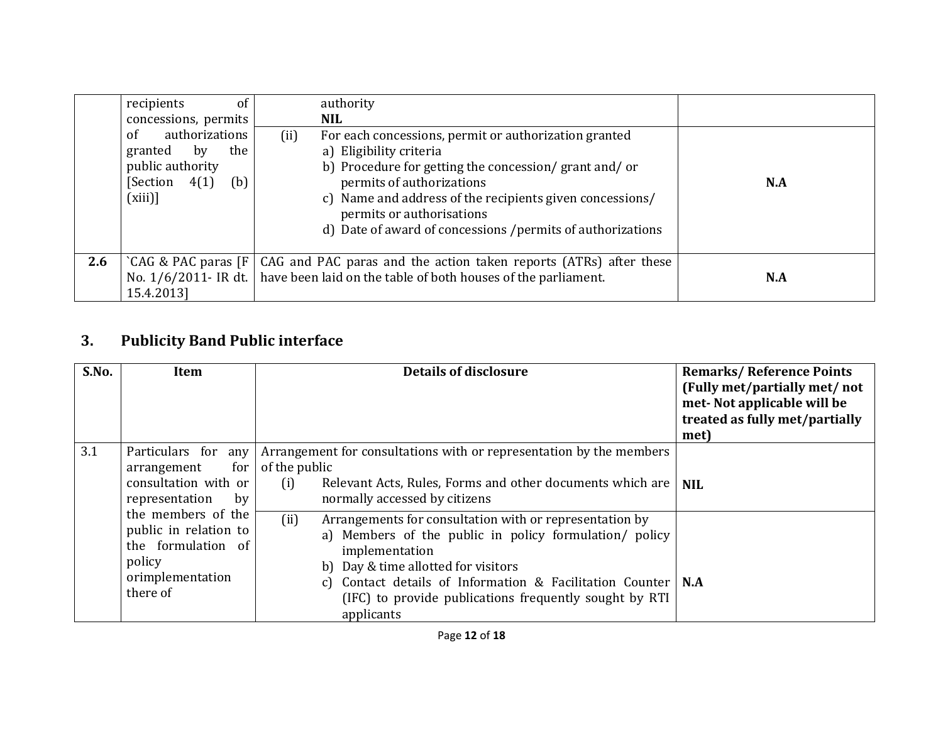|     | recipients<br>of<br>concessions, permits                                                              | authority<br>NIL.                                                                                                                                                                                                                                                                                                                    |     |
|-----|-------------------------------------------------------------------------------------------------------|--------------------------------------------------------------------------------------------------------------------------------------------------------------------------------------------------------------------------------------------------------------------------------------------------------------------------------------|-----|
|     | authorizations<br>of<br>the<br>by<br>granted<br>public authority<br>[Section<br>4(1)<br>(b)<br>(xiii) | (ii)<br>For each concessions, permit or authorization granted<br>a) Eligibility criteria<br>b) Procedure for getting the concession/grant and/or<br>permits of authorizations<br>c) Name and address of the recipients given concessions/<br>permits or authorisations<br>d) Date of award of concessions /permits of authorizations | N.A |
| 2.6 | $'CAG \& PAC \text{ paras } [F]$<br>15.4.2013]                                                        | CAG and PAC paras and the action taken reports (ATRs) after these<br>No. $1/6/2011$ - IR dt.   have been laid on the table of both houses of the parliament.                                                                                                                                                                         | N.A |

## **3.Publicity Band Public interface**

|     | S.No.                                                                                                       | Item                                                                                                                                                                                                                                                                                                                            | <b>Details of disclosure</b>                                                                                                                                                              | <b>Remarks/Reference Points</b><br>(Fully met/partially met/ not<br>met-Not applicable will be<br>treated as fully met/partially<br>met) |
|-----|-------------------------------------------------------------------------------------------------------------|---------------------------------------------------------------------------------------------------------------------------------------------------------------------------------------------------------------------------------------------------------------------------------------------------------------------------------|-------------------------------------------------------------------------------------------------------------------------------------------------------------------------------------------|------------------------------------------------------------------------------------------------------------------------------------------|
| 3.1 |                                                                                                             | Particulars for any<br>for<br>arrangement<br>consultation with or<br>representation<br>by                                                                                                                                                                                                                                       | Arrangement for consultations with or representation by the members<br>of the public<br>(i)<br>Relevant Acts, Rules, Forms and other documents which are<br>normally accessed by citizens | <b>NIL</b>                                                                                                                               |
|     | the members of the<br>public in relation to<br>the formulation of<br>policy<br>orimplementation<br>there of | (ii)<br>Arrangements for consultation with or representation by<br>a) Members of the public in policy formulation/ policy<br>implementation<br>b) Day & time allotted for visitors<br>Contact details of Information & Facilitation Counter   N.A<br>C)<br>(IFC) to provide publications frequently sought by RTI<br>applicants |                                                                                                                                                                                           |                                                                                                                                          |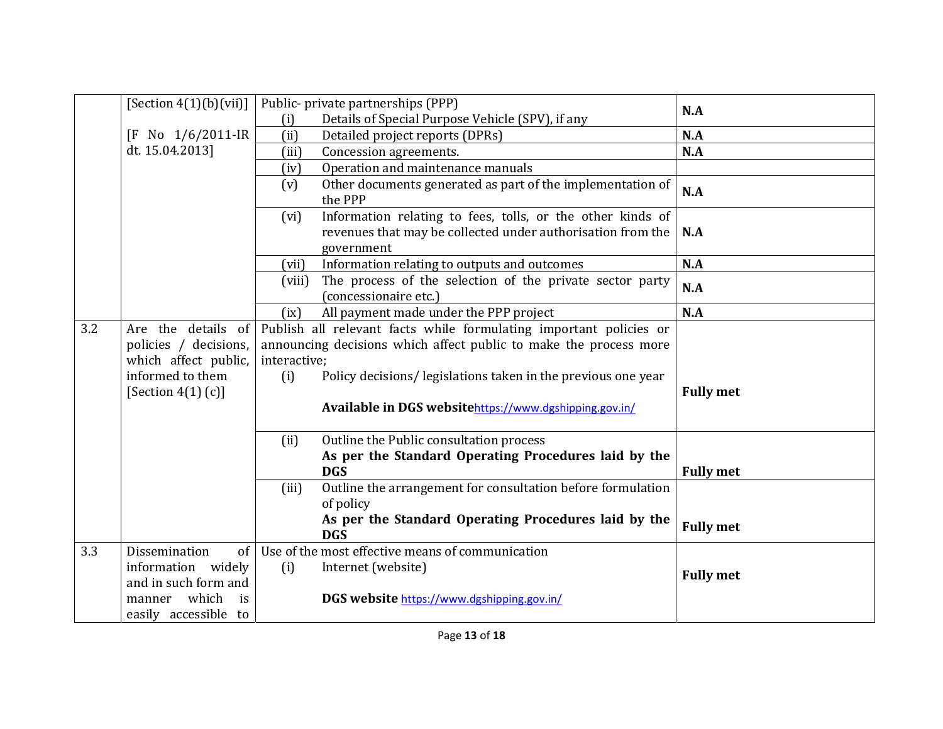|     | [Section $4(1)(b)(vii)$ ]                                                                                       | Public- private partnerships (PPP)                                                                                                                                                                                                                                                        | N.A              |
|-----|-----------------------------------------------------------------------------------------------------------------|-------------------------------------------------------------------------------------------------------------------------------------------------------------------------------------------------------------------------------------------------------------------------------------------|------------------|
|     |                                                                                                                 | Details of Special Purpose Vehicle (SPV), if any<br>(i)                                                                                                                                                                                                                                   |                  |
|     | No 1/6/2011-IR<br>ſΕ                                                                                            | (ii)<br>Detailed project reports (DPRs)                                                                                                                                                                                                                                                   | N.A              |
|     | dt. 15.04.2013]                                                                                                 | (iii)<br>Concession agreements.                                                                                                                                                                                                                                                           | N.A              |
|     |                                                                                                                 | Operation and maintenance manuals<br>(iv)                                                                                                                                                                                                                                                 |                  |
|     |                                                                                                                 | Other documents generated as part of the implementation of<br>(v)<br>the PPP                                                                                                                                                                                                              | N.A              |
|     |                                                                                                                 | Information relating to fees, tolls, or the other kinds of<br>(vi)<br>revenues that may be collected under authorisation from the<br>government                                                                                                                                           | N.A              |
|     |                                                                                                                 | Information relating to outputs and outcomes<br>(vii)                                                                                                                                                                                                                                     | N.A              |
|     |                                                                                                                 | The process of the selection of the private sector party<br>(viii)<br>(concessionaire etc.)                                                                                                                                                                                               | N.A              |
|     |                                                                                                                 | All payment made under the PPP project<br>(ix)                                                                                                                                                                                                                                            | N.A              |
| 3.2 | Are the details of<br>policies / decisions,<br>which affect public,<br>informed to them<br>[Section $4(1)$ (c)] | Publish all relevant facts while formulating important policies or<br>announcing decisions which affect public to make the process more<br>interactive;<br>Policy decisions/ legislations taken in the previous one year<br>(i)<br>Available in DGS websitehttps://www.dgshipping.gov.in/ | <b>Fully met</b> |
|     |                                                                                                                 | Outline the Public consultation process<br>(ii)<br>As per the Standard Operating Procedures laid by the<br><b>DGS</b>                                                                                                                                                                     | <b>Fully met</b> |
|     |                                                                                                                 | Outline the arrangement for consultation before formulation<br>(iii)<br>of policy<br>As per the Standard Operating Procedures laid by the<br><b>DGS</b>                                                                                                                                   | <b>Fully met</b> |
| 3.3 | Dissemination<br>of                                                                                             | Use of the most effective means of communication                                                                                                                                                                                                                                          |                  |
|     | information widely<br>and in such form and<br>which<br>manner<br>is                                             | (i)<br>Internet (website)<br>DGS website https://www.dgshipping.gov.in/                                                                                                                                                                                                                   | <b>Fully met</b> |
|     | easily accessible to                                                                                            |                                                                                                                                                                                                                                                                                           |                  |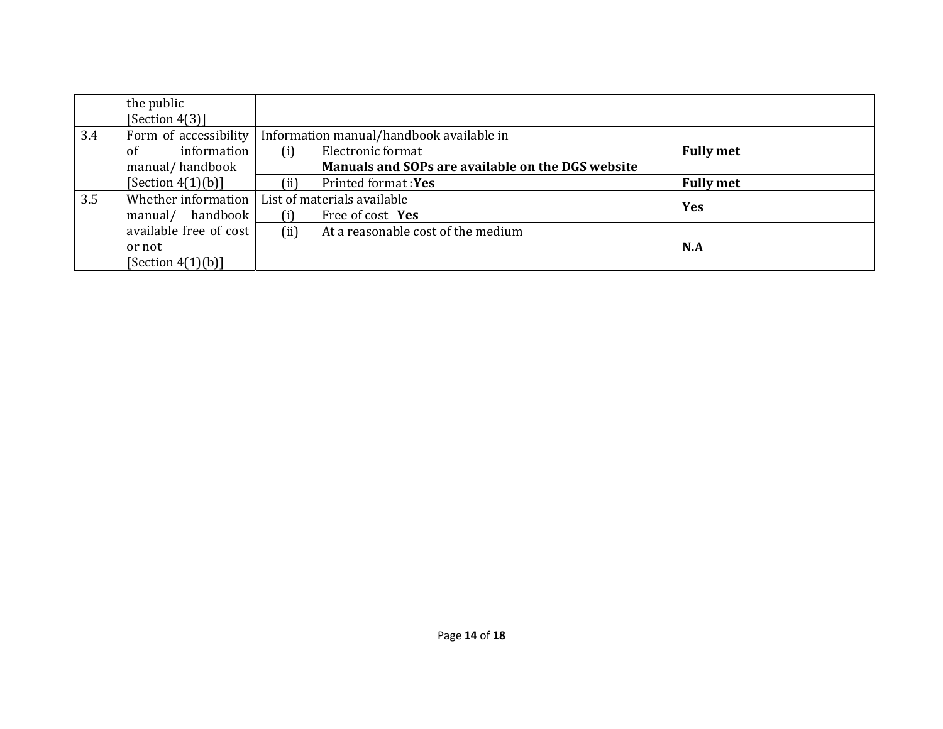|     | the public             |                                                   |                  |
|-----|------------------------|---------------------------------------------------|------------------|
|     | [Section 4(3)]         |                                                   |                  |
| 3.4 | Form of accessibility  | Information manual/handbook available in          |                  |
|     | information<br>οf      | Electronic format<br>(i)                          | <b>Fully met</b> |
|     | manual/handbook        | Manuals and SOPs are available on the DGS website |                  |
|     | [Section $4(1)(b)$ ]   | (i)<br><b>Printed format: Yes</b>                 | <b>Fully met</b> |
| 3.5 | Whether information    | List of materials available                       | <b>Yes</b>       |
|     | manual/ handbook       | (i)<br>Free of cost Yes                           |                  |
|     | available free of cost | (ii)<br>At a reasonable cost of the medium        |                  |
|     | or not                 |                                                   | N.A              |
|     | [Section $4(1)(b)$ ]   |                                                   |                  |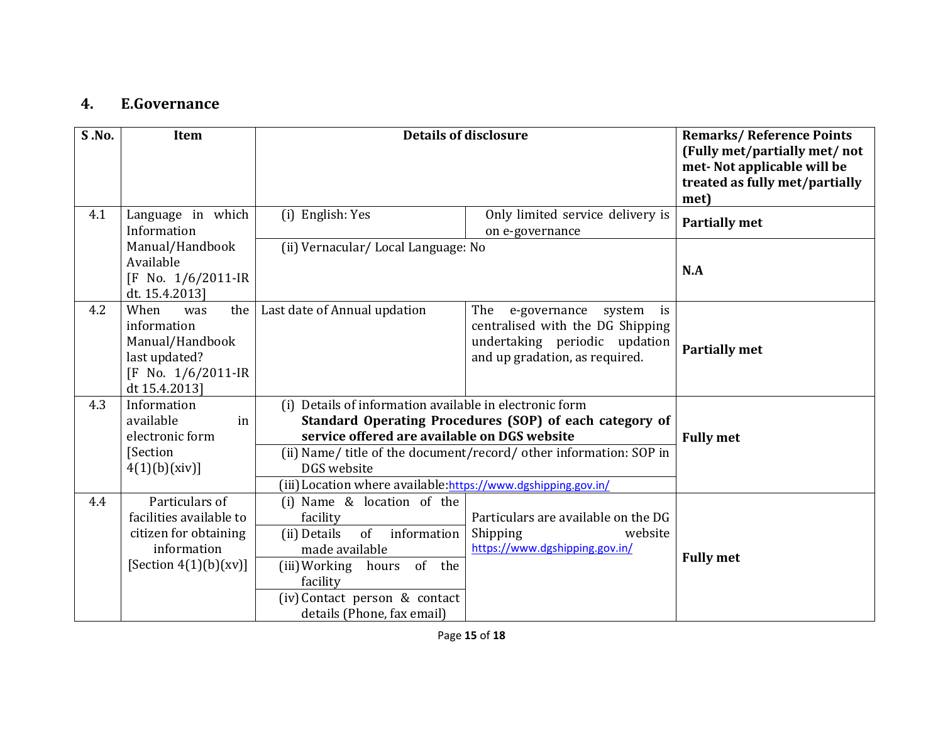#### **4.E.Governance**

| <b>S.No.</b> | Item                                                                                                          | <b>Details of disclosure</b>                                                                                                                                                                                                                                                                                              | <b>Remarks/Reference Points</b><br>(Fully met/partially met/ not<br>met-Not applicable will be<br>treated as fully met/partially<br>met)   |                      |
|--------------|---------------------------------------------------------------------------------------------------------------|---------------------------------------------------------------------------------------------------------------------------------------------------------------------------------------------------------------------------------------------------------------------------------------------------------------------------|--------------------------------------------------------------------------------------------------------------------------------------------|----------------------|
| 4.1          | Language in which<br>Information                                                                              | (i) English: Yes                                                                                                                                                                                                                                                                                                          | Only limited service delivery is<br>on e-governance                                                                                        | <b>Partially met</b> |
|              | Manual/Handbook<br>Available<br>$[F$ No. $1/6/2011$ -IR<br>dt. 15.4.2013]                                     | (ii) Vernacular/Local Language: No                                                                                                                                                                                                                                                                                        |                                                                                                                                            | N.A                  |
| 4.2          | When<br>the<br>was<br>information<br>Manual/Handbook<br>last updated?<br>[F No. 1/6/2011-IR<br>dt 15.4.2013]  | Last date of Annual updation                                                                                                                                                                                                                                                                                              | The<br>e-governance<br>system<br>is<br>centralised with the DG Shipping<br>undertaking periodic updation<br>and up gradation, as required. | <b>Partially met</b> |
| 4.3          | Information<br>available<br>in<br>electronic form<br>[Section<br>4(1)(b)(xiv)                                 | (i) Details of information available in electronic form<br>Standard Operating Procedures (SOP) of each category of<br>service offered are available on DGS website<br>(ii) Name/ title of the document/record/ other information: SOP in<br>DGS website<br>(iii) Location where available: https://www.dgshipping.gov.in/ | <b>Fully met</b>                                                                                                                           |                      |
| 4.4          | Particulars of<br>facilities available to<br>citizen for obtaining<br>information<br>[Section $4(1)(b)(xv)$ ] | (i) Name & location of the<br>facility<br>of<br>information<br>(ii) Details<br>made available<br>of the<br>(iii) Working hours<br>facility<br>(iv) Contact person & contact<br>details (Phone, fax email)                                                                                                                 | Particulars are available on the DG<br>Shipping<br>website<br>https://www.dgshipping.gov.in/                                               | <b>Fully met</b>     |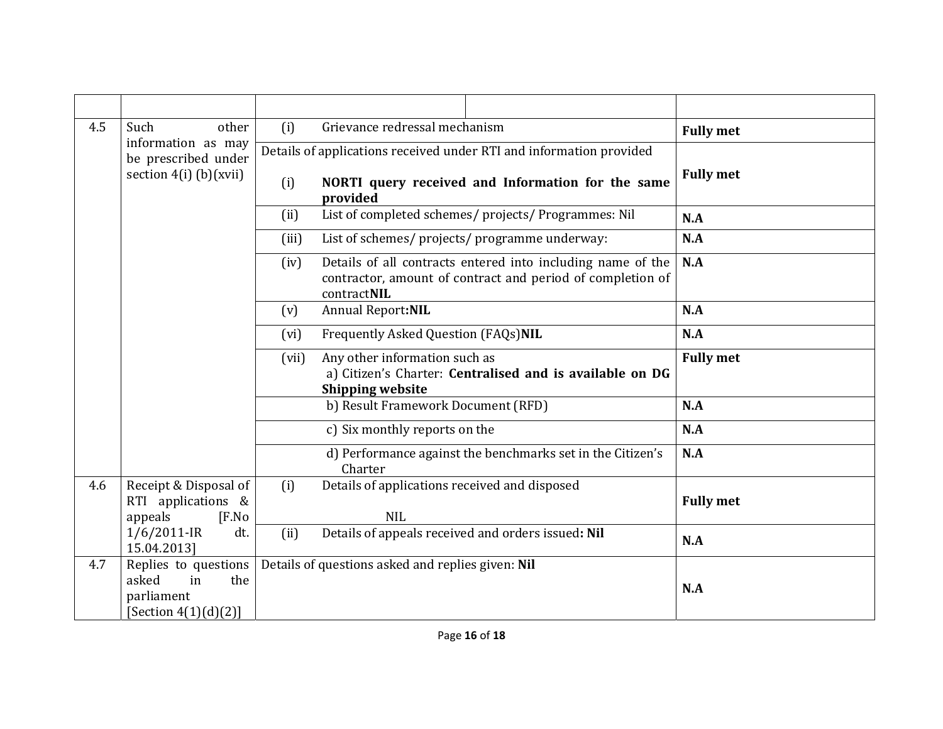| 4.5<br>Such<br>other |                                                                                    | (i)   | Grievance redressal mechanism                                                                                                            | <b>Fully met</b> |
|----------------------|------------------------------------------------------------------------------------|-------|------------------------------------------------------------------------------------------------------------------------------------------|------------------|
|                      | information as may<br>be prescribed under                                          |       | Details of applications received under RTI and information provided                                                                      |                  |
|                      | section $4(i)$ (b)(xvii)                                                           | (i)   | NORTI query received and Information for the same<br>provided                                                                            | <b>Fully met</b> |
|                      |                                                                                    | (ii)  | List of completed schemes/ projects/ Programmes: Nil                                                                                     | N.A              |
|                      |                                                                                    | (iii) | List of schemes/ projects/ programme underway:                                                                                           | N.A              |
|                      |                                                                                    | (iv)  | Details of all contracts entered into including name of the<br>contractor, amount of contract and period of completion of<br>contractNIL | N.A              |
|                      |                                                                                    | (v)   | <b>Annual Report:NIL</b>                                                                                                                 | N.A              |
|                      |                                                                                    |       | Frequently Asked Question (FAQs)NIL                                                                                                      | N.A              |
|                      |                                                                                    |       | Any other information such as<br>a) Citizen's Charter: Centralised and is available on DG<br><b>Shipping website</b>                     | <b>Fully met</b> |
|                      |                                                                                    |       | b) Result Framework Document (RFD)                                                                                                       | N.A              |
|                      |                                                                                    |       | c) Six monthly reports on the                                                                                                            | N.A              |
|                      |                                                                                    |       | d) Performance against the benchmarks set in the Citizen's<br>Charter                                                                    | N.A              |
| 4.6                  | Receipt & Disposal of<br>RTI applications &<br>appeals<br>[ <b>F</b> .No]          | (i)   | Details of applications received and disposed<br><b>NIL</b>                                                                              | <b>Fully met</b> |
|                      | $1/6/2011$ -IR<br>dt.<br>15.04.2013]                                               | (ii)  | Details of appeals received and orders issued: Nil                                                                                       | N.A              |
| 4.7                  | Replies to questions<br>asked<br>in<br>the<br>parliament<br>[Section $4(1)(d)(2)]$ |       | Details of questions asked and replies given: Nil                                                                                        | N.A              |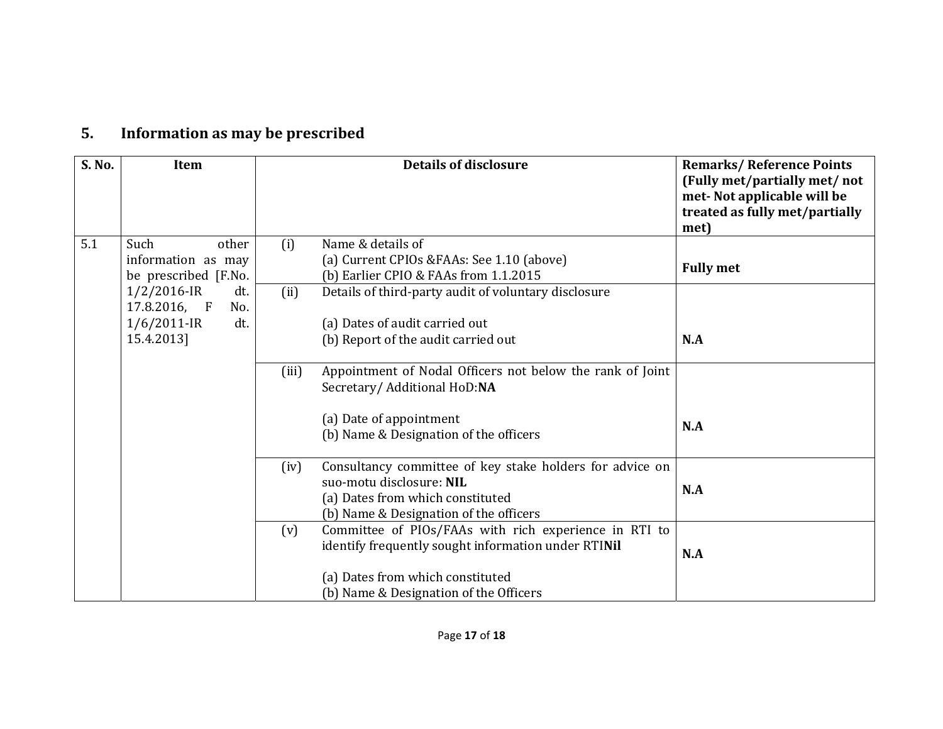### **5.Information as may be prescribed**

| S. No. | Item                                                                                | <b>Details of disclosure</b>                                                                                                                                                                      | <b>Remarks/Reference Points</b><br>(Fully met/partially met/ not<br>met-Not applicable will be<br>treated as fully met/partially<br>met) |
|--------|-------------------------------------------------------------------------------------|---------------------------------------------------------------------------------------------------------------------------------------------------------------------------------------------------|------------------------------------------------------------------------------------------------------------------------------------------|
| 5.1    | Such<br>other<br>information as may<br>be prescribed [F.No.                         | Name & details of<br>(i)<br>(a) Current CPIOs & FAAs: See 1.10 (above)<br>(b) Earlier CPIO & FAAs from 1.1.2015                                                                                   | <b>Fully met</b>                                                                                                                         |
|        | $1/2/2016$ -IR<br>dt.<br>17.8.2016, F<br>No.<br>$1/6/2011$ -IR<br>dt.<br>15.4.2013] | (ii)<br>Details of third-party audit of voluntary disclosure<br>(a) Dates of audit carried out<br>(b) Report of the audit carried out                                                             | N.A                                                                                                                                      |
|        |                                                                                     | Appointment of Nodal Officers not below the rank of Joint<br>(iii)<br>Secretary/ Additional HoD:NA<br>(a) Date of appointment<br>(b) Name & Designation of the officers                           | N.A                                                                                                                                      |
|        |                                                                                     | Consultancy committee of key stake holders for advice on<br>(iv)<br>suo-motu disclosure: NIL<br>(a) Dates from which constituted<br>(b) Name & Designation of the officers                        | N.A                                                                                                                                      |
|        |                                                                                     | Committee of PIOs/FAAs with rich experience in RTI to<br>(v)<br>identify frequently sought information under RTINil<br>(a) Dates from which constituted<br>(b) Name & Designation of the Officers | N.A                                                                                                                                      |